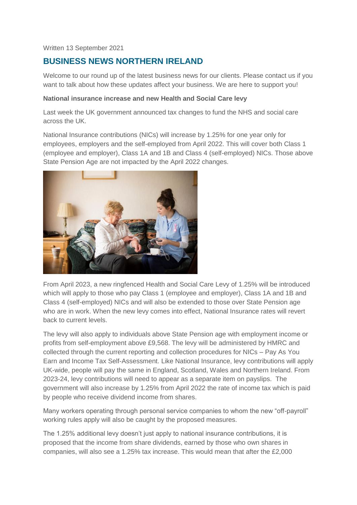#### Written 13 September 2021

# **BUSINESS NEWS NORTHERN IRELAND**

Welcome to our round up of the latest business news for our clients. Please contact us if you want to talk about how these updates affect your business. We are here to support you!

#### **National insurance increase and new Health and Social Care levy**

Last week the UK government announced tax changes to fund the NHS and social care across the UK.

National Insurance contributions (NICs) will increase by 1.25% for one year only for employees, employers and the self-employed from April 2022. This will cover both Class 1 (employee and employer), Class 1A and 1B and Class 4 (self-employed) NICs. Those above State Pension Age are not impacted by the April 2022 changes.



From April 2023, a new ringfenced Health and Social Care Levy of 1.25% will be introduced which will apply to those who pay Class 1 (employee and employer), Class 1A and 1B and Class 4 (self-employed) NICs and will also be extended to those over State Pension age who are in work. When the new levy comes into effect, National Insurance rates will revert back to current levels.

The levy will also apply to individuals above State Pension age with employment income or profits from self-employment above £9,568. The levy will be administered by HMRC and collected through the current reporting and collection procedures for NICs – Pay As You Earn and Income Tax Self-Assessment. Like National Insurance, levy contributions will apply UK-wide, people will pay the same in England, Scotland, Wales and Northern Ireland. From 2023-24, levy contributions will need to appear as a separate item on payslips. The government will also increase by 1.25% from April 2022 the rate of income tax which is paid by people who receive dividend income from shares.

Many workers operating through personal service companies to whom the new "off-payroll" working rules apply will also be caught by the proposed measures.

The 1.25% additional levy doesn't just apply to national insurance contributions, it is proposed that the income from share dividends, earned by those who own shares in companies, will also see a 1.25% tax increase. This would mean that after the £2,000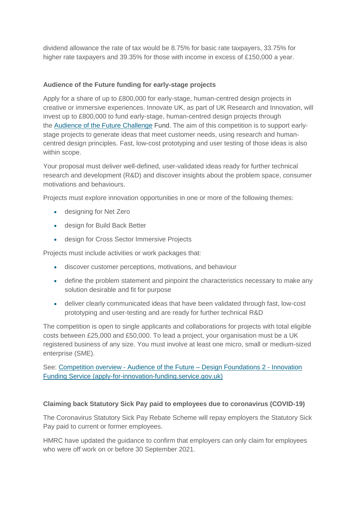dividend allowance the rate of tax would be 8.75% for basic rate taxpayers, 33.75% for higher rate taxpayers and 39.35% for those with income in excess of £150,000 a year.

## **Audience of the Future funding for early-stage projects**

Apply for a share of up to £800,000 for early-stage, human-centred design projects in creative or immersive experiences. Innovate UK, as part of UK Research and Innovation, will invest up to £800,000 to fund early-stage, human-centred design projects through the [Audience of the Future Challenge](https://www.ukri.org/our-work/our-main-funds/industrial-strategy-challenge-fund/artificial-intelligence-and-data-economy/audience-of-the-future-challenge/) Fund. The aim of this competition is to support earlystage projects to generate ideas that meet customer needs, using research and humancentred design principles. Fast, low-cost prototyping and user testing of those ideas is also within scope.

Your proposal must deliver well-defined, user-validated ideas ready for further technical research and development (R&D) and discover insights about the problem space, consumer motivations and behaviours.

Projects must explore innovation opportunities in one or more of the following themes:

- designing for Net Zero
- design for Build Back Better
- design for Cross Sector Immersive Projects

Projects must include activities or work packages that:

- discover customer perceptions, motivations, and behaviour
- define the problem statement and pinpoint the characteristics necessary to make any solution desirable and fit for purpose
- deliver clearly communicated ideas that have been validated through fast, low-cost prototyping and user-testing and are ready for further technical R&D

The competition is open to single applicants and collaborations for projects with total eligible costs between £25,000 and £50,000. To lead a project, your organisation must be a UK registered business of any size. You must involve at least one micro, small or medium-sized enterprise (SME).

See: Competition overview - [Audience of the Future –](https://apply-for-innovation-funding.service.gov.uk/competition/1001/overview) Design Foundations 2 - Innovation [Funding Service \(apply-for-innovation-funding.service.gov.uk\)](https://apply-for-innovation-funding.service.gov.uk/competition/1001/overview)

#### **Claiming back Statutory Sick Pay paid to employees due to coronavirus (COVID-19)**

The Coronavirus Statutory Sick Pay Rebate Scheme will repay employers the Statutory Sick Pay paid to current or former employees.

HMRC have updated the guidance to confirm that employers can only claim for employees who were off work on or before 30 September 2021.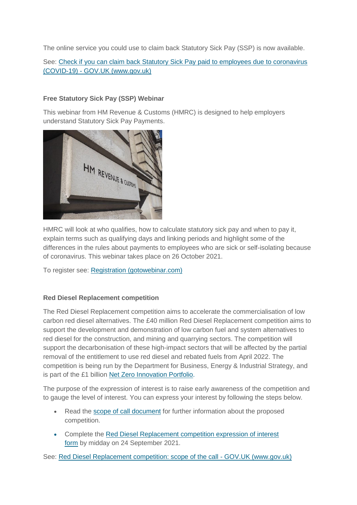The online service you could use to claim back Statutory Sick Pay (SSP) is now available.

See: Check if you can claim back Statutory Sick Pay paid to employees due to coronavirus (COVID-19) - [GOV.UK \(www.gov.uk\)](https://www.gov.uk/guidance/claim-back-statutory-sick-pay-paid-to-employees-due-to-coronavirus-covid-19?utm_medium=email&utm_campaign=govuk-notifications&utm_source=68a594af-5d32-43d6-a546-951fb2af2258&utm_content=daily)

## **Free Statutory Sick Pay (SSP) Webinar**

This webinar from HM Revenue & Customs (HMRC) is designed to help employers understand Statutory Sick Pay Payments.



HMRC will look at who qualifies, how to calculate statutory sick pay and when to pay it, explain terms such as qualifying days and linking periods and highlight some of the differences in the rules about payments to employees who are sick or self-isolating because of coronavirus. This webinar takes place on 26 October 2021.

To register see: [Registration \(gotowebinar.com\)](https://register.gotowebinar.com/rt/2806319127027907596)

# **Red Diesel Replacement competition**

The Red Diesel Replacement competition aims to accelerate the commercialisation of low carbon red diesel alternatives. The £40 million Red Diesel Replacement competition aims to support the development and demonstration of low carbon fuel and system alternatives to red diesel for the construction, and mining and quarrying sectors. The competition will support the decarbonisation of these high-impact sectors that will be affected by the partial removal of the entitlement to use red diesel and rebated fuels from April 2022. The competition is being run by the Department for Business, Energy & Industrial Strategy, and is part of the £1 billion [Net Zero Innovation Portfolio.](https://www.gov.uk/government/collections/net-zero-innovation-portfolio)

The purpose of the expression of interest is to raise early awareness of the competition and to gauge the level of interest. You can express your interest by following the steps below.

- Read the [scope of call document](https://www.gov.uk/government/publications/red-diesel-replacement-competition/red-diesel-replacement-competition-scope-of-the-call) for further information about the proposed competition.
- Complete the [Red Diesel Replacement competition expression of interest](https://www.smartsurvey.co.uk/s/RDR-EOI-Form/)  [form](https://www.smartsurvey.co.uk/s/RDR-EOI-Form/) by midday on 24 September 2021.

See: [Red Diesel Replacement competition: scope of the call -](https://www.gov.uk/government/publications/red-diesel-replacement-competition/red-diesel-replacement-competition-scope-of-the-call) GOV.UK (www.gov.uk)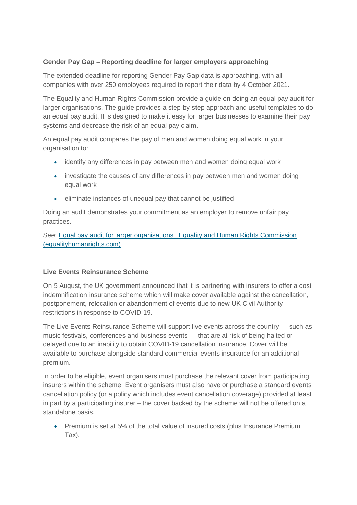# **Gender Pay Gap – Reporting deadline for larger employers approaching**

The extended deadline for reporting Gender Pay Gap data is approaching, with all companies with over 250 employees required to report their data by 4 October 2021.

The Equality and Human Rights Commission provide a guide on doing an equal pay audit for larger organisations. The guide provides a step-by-step approach and useful templates to do an equal pay audit. It is designed to make it easy for larger businesses to examine their pay systems and decrease the risk of an equal pay claim.

An equal pay audit compares the pay of men and women doing equal work in your organisation to:

- identify any differences in pay between men and women doing equal work
- investigate the causes of any differences in pay between men and women doing equal work
- eliminate instances of unequal pay that cannot be justified

Doing an audit demonstrates your commitment as an employer to remove unfair pay practices.

See: Equal pay audit for larger organisations | Equality and Human Rights Commission [\(equalityhumanrights.com\)](https://www.equalityhumanrights.com/en/multipage-guide/equal-pay-audit-larger-organisations)

# **Live Events Reinsurance Scheme**

On 5 August, the UK government announced that it is partnering with insurers to offer a cost indemnification insurance scheme which will make cover available against the cancellation, postponement, relocation or abandonment of events due to new UK Civil Authority restrictions in response to COVID-19.

The Live Events Reinsurance Scheme will support live events across the country — such as music festivals, conferences and business events — that are at risk of being halted or delayed due to an inability to obtain COVID-19 cancellation insurance. Cover will be available to purchase alongside standard commercial events insurance for an additional premium.

In order to be eligible, event organisers must purchase the relevant cover from participating insurers within the scheme. Event organisers must also have or purchase a standard events cancellation policy (or a policy which includes event cancellation coverage) provided at least in part by a participating insurer – the cover backed by the scheme will not be offered on a standalone basis.

 Premium is set at 5% of the total value of insured costs (plus Insurance Premium Tax).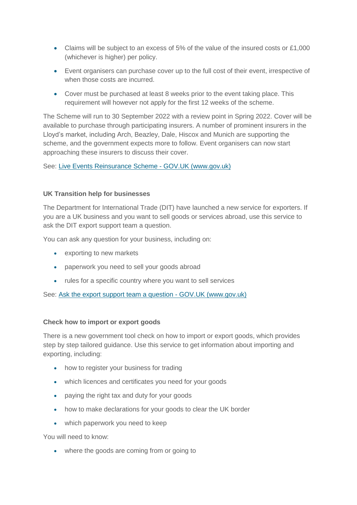- Claims will be subject to an excess of 5% of the value of the insured costs or £1,000 (whichever is higher) per policy.
- Event organisers can purchase cover up to the full cost of their event, irrespective of when those costs are incurred.
- Cover must be purchased at least 8 weeks prior to the event taking place. This requirement will however not apply for the first 12 weeks of the scheme.

The Scheme will run to 30 September 2022 with a review point in Spring 2022. Cover will be available to purchase through participating insurers. A number of prominent insurers in the Lloyd's market, including Arch, Beazley, Dale, Hiscox and Munich are supporting the scheme, and the government expects more to follow. Event organisers can now start approaching these insurers to discuss their cover.

See: [Live Events Reinsurance Scheme -](https://www.gov.uk/government/publications/live-events-reinsurance-scheme?utm_medium=email&utm_campaign=govuk-notifications&utm_source=3779d92f-1459-428c-a96b-03e5ba198a41&utm_content=daily) GOV.UK (www.gov.uk)

## **UK Transition help for businesses**

The Department for International Trade (DIT) have launched a new service for exporters. If you are a UK business and you want to sell goods or services abroad, use this service to ask the DIT export support team a question.

You can ask any question for your business, including on:

- exporting to new markets
- paperwork you need to sell your goods abroad
- rules for a specific country where you want to sell services

See: [Ask the export support team a question -](https://www.gov.uk/ask-export-support-team) GOV.UK (www.gov.uk)

#### **Check how to import or export goods**

There is a new government tool check on how to import or export goods, which provides step by step tailored guidance. Use this service to get information about importing and exporting, including:

- how to register your business for trading
- which licences and certificates you need for your goods
- paying the right tax and duty for your goods
- how to make declarations for your goods to clear the UK border
- which paperwork you need to keep

You will need to know:

• where the goods are coming from or going to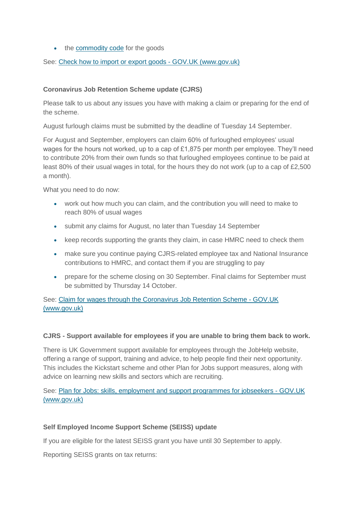• the [commodity code](https://www.gov.uk/guidance/finding-commodity-codes-for-imports-or-exports) for the goods

See: [Check how to import or export goods -](https://www.gov.uk/check-how-to-import-export) GOV.UK (www.gov.uk)

## **Coronavirus Job Retention Scheme update (CJRS)**

Please talk to us about any issues you have with making a claim or preparing for the end of the scheme.

August furlough claims must be submitted by the deadline of Tuesday 14 September.

For August and September, employers can claim 60% of furloughed employees' usual wages for the hours not worked, up to a cap of £1,875 per month per employee. They'll need to contribute 20% from their own funds so that furloughed employees continue to be paid at least 80% of their usual wages in total, for the hours they do not work (up to a cap of £2,500 a month).

What you need to do now:

- work out how much you can claim, and the contribution you will need to make to reach 80% of usual wages
- submit any claims for August, no later than Tuesday 14 September
- keep records supporting the grants they claim, in case HMRC need to check them
- make sure you continue paying CJRS-related employee tax and National Insurance contributions to HMRC, and contact them if you are struggling to pay
- prepare for the scheme closing on 30 September. Final claims for September must be submitted by Thursday 14 October.

See: [Claim for wages through the Coronavirus Job Retention Scheme -](https://www.gov.uk/guidance/claim-for-wages-through-the-coronavirus-job-retention-scheme) GOV.UK [\(www.gov.uk\)](https://www.gov.uk/guidance/claim-for-wages-through-the-coronavirus-job-retention-scheme)

#### **CJRS - Support available for employees if you are unable to bring them back to work.**

There is UK Government support available for employees through the JobHelp website, offering a range of support, training and advice, to help people find their next opportunity. This includes the Kickstart scheme and other Plan for Jobs support measures, along with advice on learning new skills and sectors which are recruiting.

See: [Plan for Jobs: skills, employment and support programmes for jobseekers -](https://www.gov.uk/government/collections/plan-for-jobs-skills-employment-and-support-programmes-for-jobseekers) GOV.UK [\(www.gov.uk\)](https://www.gov.uk/government/collections/plan-for-jobs-skills-employment-and-support-programmes-for-jobseekers)

# **Self Employed Income Support Scheme (SEISS) update**

If you are eligible for the latest SEISS grant you have until 30 September to apply.

Reporting SEISS grants on tax returns: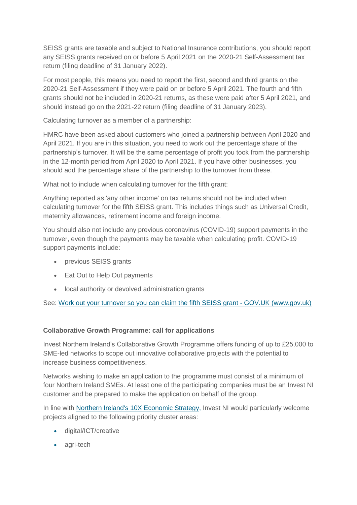SEISS grants are taxable and subject to National Insurance contributions, you should report any SEISS grants received on or before 5 April 2021 on the 2020-21 Self-Assessment tax return (filing deadline of 31 January 2022).

For most people, this means you need to report the first, second and third grants on the 2020-21 Self-Assessment if they were paid on or before 5 April 2021. The fourth and fifth grants should not be included in 2020-21 returns, as these were paid after 5 April 2021, and should instead go on the 2021-22 return (filing deadline of 31 January 2023).

Calculating turnover as a member of a partnership:

HMRC have been asked about customers who joined a partnership between April 2020 and April 2021. If you are in this situation, you need to work out the percentage share of the partnership's turnover. It will be the same percentage of profit you took from the partnership in the 12-month period from April 2020 to April 2021. If you have other businesses, you should add the percentage share of the partnership to the turnover from these.

What not to include when calculating turnover for the fifth grant:

Anything reported as 'any other income' on tax returns should not be included when calculating turnover for the fifth SEISS grant. This includes things such as Universal Credit, maternity allowances, retirement income and foreign income.

You should also not include any previous coronavirus (COVID-19) support payments in the turnover, even though the payments may be taxable when calculating profit. COVID-19 support payments include:

- previous SEISS grants
- Eat Out to Help Out payments
- local authority or devolved administration grants

See: [Work out your turnover so you can claim the fifth SEISS grant -](https://www.gov.uk/guidance/work-out-your-turnover-so-you-can-claim-the-fifth-seiss-grant) GOV.UK (www.gov.uk)

# **Collaborative Growth Programme: call for applications**

Invest Northern Ireland's Collaborative Growth Programme offers funding of up to £25,000 to SME-led networks to scope out innovative collaborative projects with the potential to increase business competitiveness.

Networks wishing to make an application to the programme must consist of a minimum of four Northern Ireland SMEs. At least one of the participating companies must be an Invest NI customer and be prepared to make the application on behalf of the group.

In line with [Northern Ireland's 10X Economic Strategy,](https://www.economy-ni.gov.uk/publications/10x-economy-economic-vision-decade-innovation) Invest NI would particularly welcome projects aligned to the following priority cluster areas:

- digital/ICT/creative
- agri-tech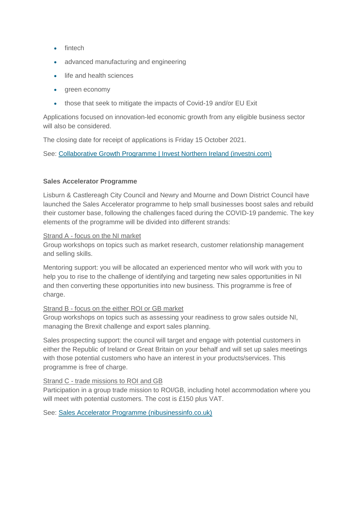- fintech
- advanced manufacturing and engineering
- life and health sciences
- areen economy
- those that seek to mitigate the impacts of Covid-19 and/or EU Exit

Applications focused on innovation-led economic growth from any eligible business sector will also be considered.

The closing date for receipt of applications is Friday 15 October 2021.

See: [Collaborative Growth Programme | Invest Northern Ireland \(investni.com\)](https://www.investni.com/collaborative-growth-programme)

# **Sales Accelerator Programme**

Lisburn & Castlereagh City Council and Newry and Mourne and Down District Council have launched the Sales Accelerator programme to help small businesses boost sales and rebuild their customer base, following the challenges faced during the COVID-19 pandemic. The key elements of the programme will be divided into different strands:

# Strand A - focus on the NI market

Group workshops on topics such as market research, customer relationship management and selling skills.

Mentoring support: you will be allocated an experienced mentor who will work with you to help you to rise to the challenge of identifying and targeting new sales opportunities in NI and then converting these opportunities into new business. This programme is free of charge.

# Strand B - focus on the either ROI or GB market

Group workshops on topics such as assessing your readiness to grow sales outside NI, managing the Brexit challenge and export sales planning.

Sales prospecting support: the council will target and engage with potential customers in either the Republic of Ireland or Great Britain on your behalf and will set up sales meetings with those potential customers who have an interest in your products/services. This programme is free of charge.

# Strand C - trade missions to ROI and GB

Participation in a group trade mission to ROI/GB, including hotel accommodation where you will meet with potential customers. The cost is £150 plus VAT.

See: [Sales Accelerator Programme \(nibusinessinfo.co.uk\)](https://www.nibusinessinfo.co.uk/content/sales-accelerator-programme)